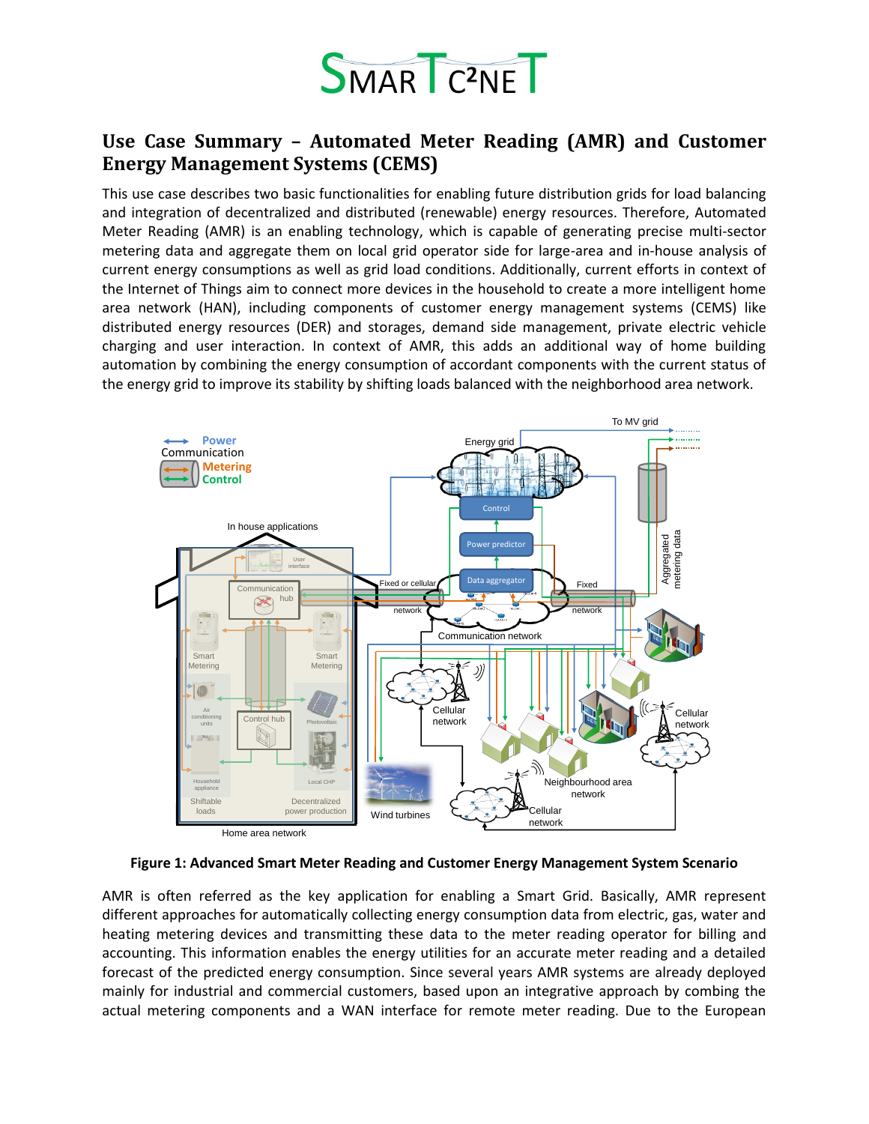

## **Use Case Summary – Automated Meter Reading (AMR) and Customer Energy Management Systems (CEMS)**

This use case describes two basic functionalities for enabling future distribution grids for load balancing and integration of decentralized and distributed (renewable) energy resources. Therefore, Automated Meter Reading (AMR) is an enabling technology, which is capable of generating precise multi-sector metering data and aggregate them on local grid operator side for large-area and in-house analysis of current energy consumptions as well as grid load conditions. Additionally, current efforts in context of the Internet of Things aim to connect more devices in the household to create a more intelligent home area network (HAN), including components of customer energy management systems (CEMS) like distributed energy resources (DER) and storages, demand side management, private electric vehicle charging and user interaction. In context of AMR, this adds an additional way of home building automation by combining the energy consumption of accordant components with the current status of the energy grid to improve its stability by shifting loads balanced with the neighborhood area network.



**Figure 1: Advanced Smart Meter Reading and Customer Energy Management System Scenario**

AMR is often referred as the key application for enabling a Smart Grid. Basically, AMR represent different approaches for automatically collecting energy consumption data from electric, gas, water and heating metering devices and transmitting these data to the meter reading operator for billing and accounting. This information enables the energy utilities for an accurate meter reading and a detailed forecast of the predicted energy consumption. Since several years AMR systems are already deployed mainly for industrial and commercial customers, based upon an integrative approach by combing the actual metering components and a WAN interface for remote meter reading. Due to the European